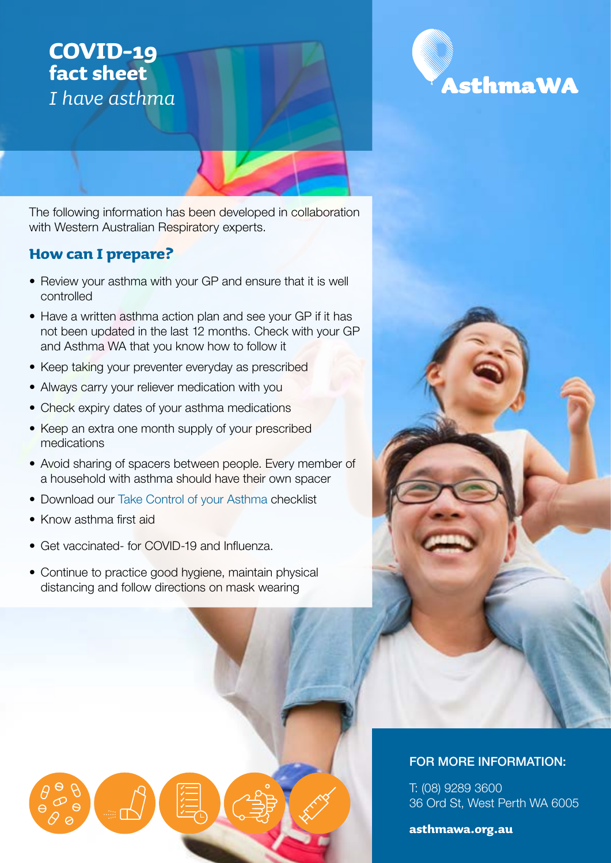# **COVID-19 fact sheet** *I have asthma*

The following information has been developed in collaboration with Western Australian Respiratory experts.

## **How can I prepare?**

- Review your asthma with your GP and ensure that it is well controlled
- Have a written asthma action plan and see your GP if it has not been updated in the last 12 months. Check with your GP and Asthma WA that you know how to follow it
- Keep taking your preventer everyday as prescribed
- Always carry your reliever medication with you
- Check expiry dates of your asthma medications
- Keep an extra one month supply of your prescribed medications
- Avoid sharing of spacers between people. Every member of a household with asthma should have their own spacer
- Download our [Take Control of your Asthma](https://asthmawa.org.au/resources/) checklist
- Know asthma first aid
- Get vaccinated- for COVID-19 and Influenza.
- Continue to practice good hygiene, maintain physical distancing and follow directions on mask wearing

✓ ✓ ✓ ✓ ✓



### FOR MORE INFORMATION:

T: (08) 9289 3600 36 Ord St, West Perth WA 6005

**asthmawa.org.au**